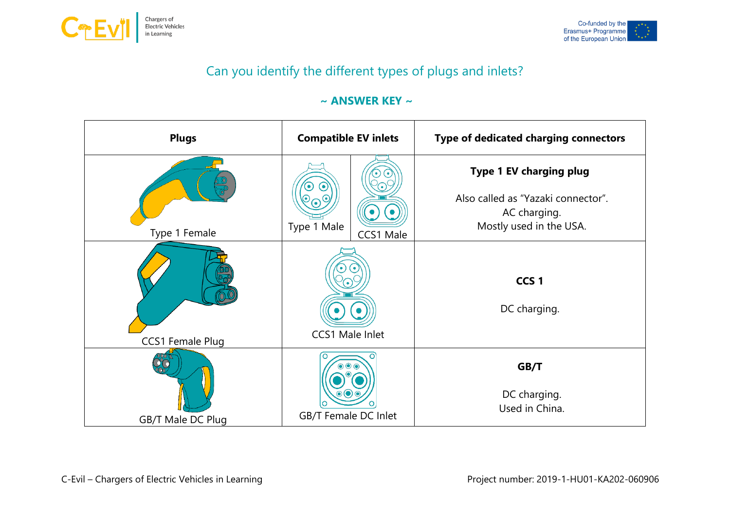



## Can you identify the different types of plugs and inlets?

## **~ ANSWER KEY ~**

| <b>Plugs</b>      | <b>Compatible EV inlets</b> | Type of dedicated charging connectors                                                                           |
|-------------------|-----------------------------|-----------------------------------------------------------------------------------------------------------------|
| Type 1 Female     | Type 1 Male<br>CCS1 Male    | <b>Type 1 EV charging plug</b><br>Also called as "Yazaki connector".<br>AC charging.<br>Mostly used in the USA. |
| CCS1 Female Plug  | CCS1 Male Inlet             | CCS <sub>1</sub><br>DC charging.                                                                                |
| GB/T Male DC Plug | GB/T Female DC Inlet        | GB/T<br>DC charging.<br>Used in China.                                                                          |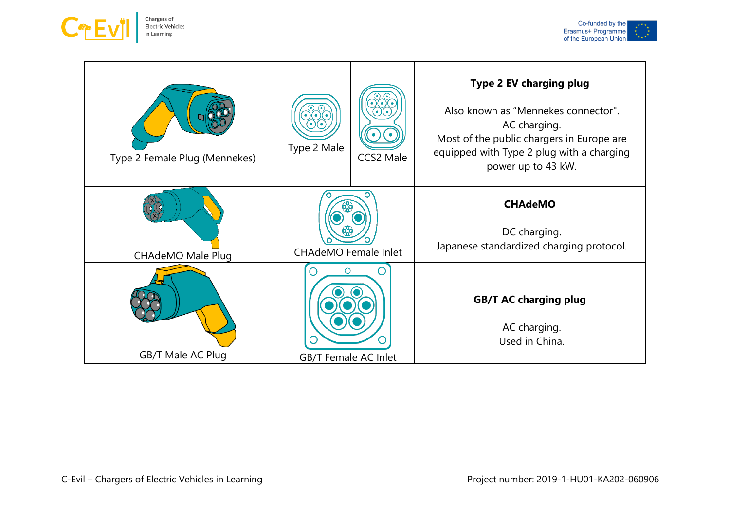



| Type 2 Female Plug (Mennekes) | Type 2 Male                 | CCS2 Male | Type 2 EV charging plug<br>Also known as "Mennekes connector".<br>AC charging.<br>Most of the public chargers in Europe are<br>equipped with Type 2 plug with a charging<br>power up to 43 kW. |
|-------------------------------|-----------------------------|-----------|------------------------------------------------------------------------------------------------------------------------------------------------------------------------------------------------|
| <b>CHAdeMO Male Plug</b>      | <b>CHAdeMO</b> Female Inlet |           | <b>CHAdeMO</b><br>DC charging.<br>Japanese standardized charging protocol.                                                                                                                     |
| GB/T Male AC Plug             | C<br>GB/T Female AC Inlet   |           | <b>GB/T AC charging plug</b><br>AC charging.<br>Used in China.                                                                                                                                 |